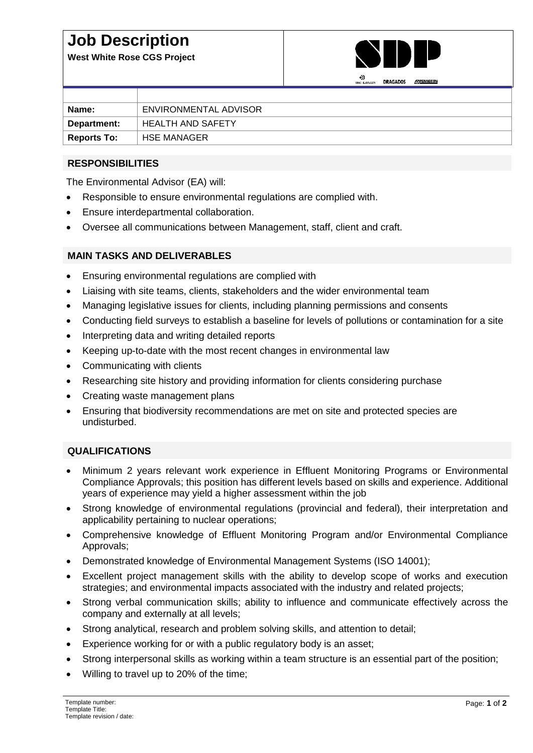# **Job Description**

**West White Rose CGS Project**



|                    | <b>SNC LAMALLY</b>       |
|--------------------|--------------------------|
|                    |                          |
| Name:              | ENVIRONMENTAL ADVISOR    |
| Department:        | <b>HEALTH AND SAFETY</b> |
| <b>Reports To:</b> | <b>HSE MANAGER</b>       |

## **RESPONSIBILITIES**

The Environmental Advisor (EA) will:

- Responsible to ensure environmental regulations are complied with.
- Ensure interdepartmental collaboration.
- Oversee all communications between Management, staff, client and craft.

#### **MAIN TASKS AND DELIVERABLES**

- Ensuring environmental regulations are complied with
- Liaising with site teams, clients, stakeholders and the wider environmental team
- Managing legislative issues for clients, including planning permissions and consents
- Conducting field surveys to establish a baseline for levels of pollutions or contamination for a site
- Interpreting data and writing detailed reports
- Keeping up-to-date with the most recent changes in environmental law
- Communicating with clients
- Researching site history and providing information for clients considering purchase
- Creating waste management plans
- Ensuring that biodiversity recommendations are met on site and protected species are undisturbed.

## **QUALIFICATIONS**

- Minimum 2 years relevant work experience in Effluent Monitoring Programs or Environmental Compliance Approvals; this position has different levels based on skills and experience. Additional years of experience may yield a higher assessment within the job
- Strong knowledge of environmental regulations (provincial and federal), their interpretation and applicability pertaining to nuclear operations;
- Comprehensive knowledge of Effluent Monitoring Program and/or Environmental Compliance Approvals;
- Demonstrated knowledge of Environmental Management Systems (ISO 14001);
- Excellent project management skills with the ability to develop scope of works and execution strategies; and environmental impacts associated with the industry and related projects;
- Strong verbal communication skills; ability to influence and communicate effectively across the company and externally at all levels;
- Strong analytical, research and problem solving skills, and attention to detail;
- Experience working for or with a public regulatory body is an asset;
- Strong interpersonal skills as working within a team structure is an essential part of the position;
- Willing to travel up to 20% of the time;